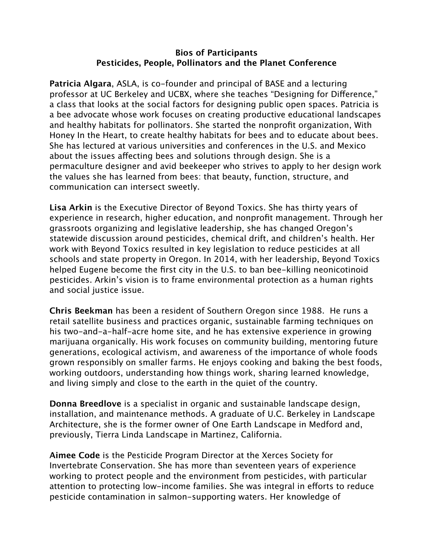## **Bios of Participants Pesticides, People, Pollinators and the Planet Conference**

**Patricia Algara**, ASLA, is co-founder and principal of BASE and a lecturing professor at UC Berkeley and UCBX, where she teaches "Designing for Diference," a class that looks at the social factors for designing public open spaces. Patricia is a bee advocate whose work focuses on creating productive educational landscapes and healthy habitats for pollinators. She started the nonprofit organization, With Honey In the Heart, to create healthy habitats for bees and to educate about bees. She has lectured at various universities and conferences in the U.S. and Mexico about the issues affecting bees and solutions through design. She is a permaculture designer and avid beekeeper who strives to apply to her design work the values she has learned from bees: that beauty, function, structure, and communication can intersect sweetly.

**Lisa Arkin** is the Executive Director of Beyond Toxics. She has thirty years of experience in research, higher education, and nonprofit management. Through her grassroots organizing and legislative leadership, she has changed Oregon's statewide discussion around pesticides, chemical drift, and children's health. Her work with Beyond Toxics resulted in key legislation to reduce pesticides at all schools and state property in Oregon. In 2014, with her leadership, Beyond Toxics helped Eugene become the first city in the U.S. to ban bee-killing neonicotinoid pesticides. Arkin's vision is to frame environmental protection as a human rights and social justice issue.

**Chris Beekman** has been a resident of Southern Oregon since 1988. He runs a retail satellite business and practices organic, sustainable farming techniques on his two-and-a-half-acre home site, and he has extensive experience in growing marijuana organically. His work focuses on community building, mentoring future generations, ecological activism, and awareness of the importance of whole foods grown responsibly on smaller farms. He enjoys cooking and baking the best foods, working outdoors, understanding how things work, sharing learned knowledge, and living simply and close to the earth in the quiet of the country.

**Donna Breedlove** is a specialist in organic and sustainable landscape design, installation, and maintenance methods. A graduate of U.C. Berkeley in Landscape Architecture, she is the former owner of One Earth Landscape in Medford and, previously, Tierra Linda Landscape in Martinez, California.

**Aimee Code** is the Pesticide Program Director at the Xerces Society for Invertebrate Conservation. She has more than seventeen years of experience working to protect people and the environment from pesticides, with particular attention to protecting low-income families. She was integral in efforts to reduce pesticide contamination in salmon-supporting waters. Her knowledge of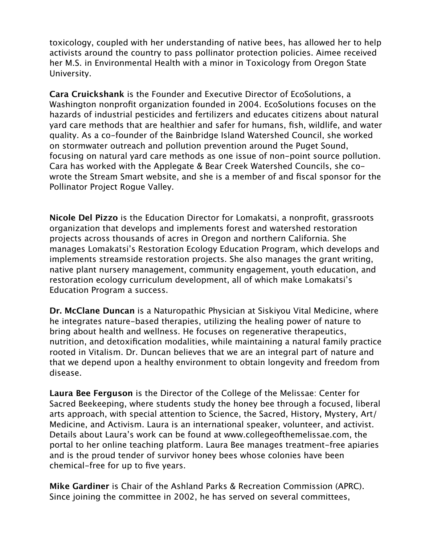toxicology, coupled with her understanding of native bees, has allowed her to help activists around the country to pass pollinator protection policies. Aimee received her M.S. in Environmental Health with a minor in Toxicology from Oregon State University.

**Cara Cruickshank** is the Founder and Executive Director of EcoSolutions, a Washington nonprofit organization founded in 2004. EcoSolutions focuses on the hazards of industrial pesticides and fertilizers and educates citizens about natural yard care methods that are healthier and safer for humans, fish, wildlife, and water quality. As a co-founder of the Bainbridge Island Watershed Council, she worked on stormwater outreach and pollution prevention around the Puget Sound, focusing on natural yard care methods as one issue of non-point source pollution. Cara has worked with the Applegate & Bear Creek Watershed Councils, she cowrote the Stream Smart website, and she is a member of and fiscal sponsor for the Pollinator Project Rogue Valley.

**Nicole Del Pizzo** is the Education Director for Lomakatsi, a nonprofit, grassroots organization that develops and implements forest and watershed restoration projects across thousands of acres in Oregon and northern California. She manages Lomakatsi's Restoration Ecology Education Program, which develops and implements streamside restoration projects. She also manages the grant writing, native plant nursery management, community engagement, youth education, and restoration ecology curriculum development, all of which make Lomakatsi's Education Program a success.

**Dr. McClane Duncan** is a Naturopathic Physician at Siskiyou Vital Medicine, where he integrates nature-based therapies, utilizing the healing power of nature to bring about health and wellness. He focuses on regenerative therapeutics, nutrition, and detoxification modalities, while maintaining a natural family practice rooted in Vitalism. Dr. Duncan believes that we are an integral part of nature and that we depend upon a healthy environment to obtain longevity and freedom from disease.

**Laura Bee Ferguson** is the Director of the College of the Melissae: Center for Sacred Beekeeping, where students study the honey bee through a focused, liberal arts approach, with special attention to Science, the Sacred, History, Mystery, Art/ Medicine, and Activism. Laura is an international speaker, volunteer, and activist. Details about Laura's work can be found at [www.collegeofthemelissae.com](http://www.collegeofthemelissae.com), the portal to her online teaching platform. Laura Bee manages treatment-free apiaries and is the proud tender of survivor honey bees whose colonies have been chemical-free for up to five years.

**Mike Gardiner** is Chair of the Ashland Parks & Recreation Commission (APRC). Since joining the committee in 2002, he has served on several committees,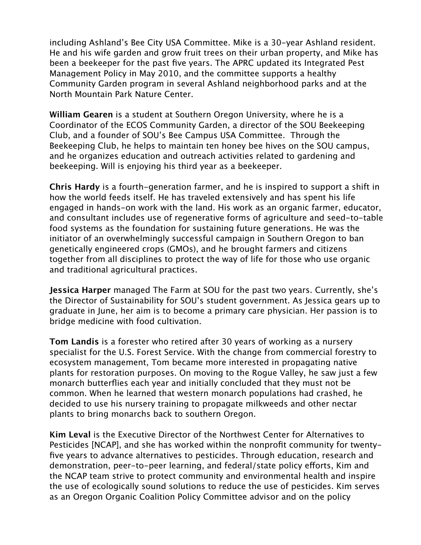including Ashland's Bee City USA Committee. Mike is a 30-year Ashland resident. He and his wife garden and grow fruit trees on their urban property, and Mike has been a beekeeper for the past five years. The APRC updated its Integrated Pest Management Policy in May 2010, and the committee supports a healthy Community Garden program in several Ashland neighborhood parks and at the North Mountain Park Nature Center.

**William Gearen** is a student at Southern Oregon University, where he is a Coordinator of the ECOS Community Garden, a director of the SOU Beekeeping Club, and a founder of SOU's Bee Campus USA Committee. Through the Beekeeping Club, he helps to maintain ten honey bee hives on the SOU campus, and he organizes education and outreach activities related to gardening and beekeeping. Will is enjoying his third year as a beekeeper.

**Chris Hardy** is a fourth-generation farmer, and he is inspired to support a shift in how the world feeds itself. He has traveled extensively and has spent his life engaged in hands-on work with the land. His work as an organic farmer, educator, and consultant includes use of regenerative forms of agriculture and seed-to-table food systems as the foundation for sustaining future generations. He was the initiator of an overwhelmingly successful campaign in Southern Oregon to ban genetically engineered crops (GMOs), and he brought farmers and citizens together from all disciplines to protect the way of life for those who use organic and traditional agricultural practices.

**Jessica Harper** managed The Farm at SOU for the past two years. Currently, she's the Director of Sustainability for SOU's student government. As Jessica gears up to graduate in June, her aim is to become a primary care physician. Her passion is to bridge medicine with food cultivation.

**Tom Landis** is a forester who retired after 30 years of working as a nursery specialist for the U.S. Forest Service. With the change from commercial forestry to ecosystem management, Tom became more interested in propagating native plants for restoration purposes. On moving to the Rogue Valley, he saw just a few monarch butterflies each year and initially concluded that they must not be common. When he learned that western monarch populations had crashed, he decided to use his nursery training to propagate milkweeds and other nectar plants to bring monarchs back to southern Oregon.

**Kim Leval** is the Executive Director of the Northwest Center for Alternatives to Pesticides [NCAP], and she has worked within the nonprofit community for twentyfive years to advance alternatives to pesticides. Through education, research and demonstration, peer-to-peer learning, and federal/state policy eforts, Kim and the NCAP team strive to protect community and environmental health and inspire the use of ecologically sound solutions to reduce the use of pesticides. Kim serves as an Oregon Organic Coalition Policy Committee advisor and on the policy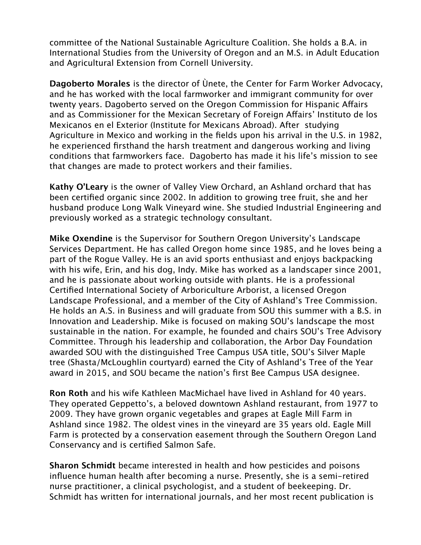committee of the National Sustainable Agriculture Coalition. She holds a B.A. in International Studies from the University of Oregon and an M.S. in Adult Education and Agricultural Extension from Cornell University.

**Dagoberto Morales** is the director of Ùnete, the Center for Farm Worker Advocacy, and he has worked with the local farmworker and immigrant community for over twenty years. Dagoberto served on the Oregon Commission for Hispanic Afairs and as Commissioner for the Mexican Secretary of Foreign Affairs' Instituto de los Mexicanos en el Exterior (Institute for Mexicans Abroad). After studying Agriculture in Mexico and working in the fields upon his arrival in the U.S. in 1982, he experienced firsthand the harsh treatment and dangerous working and living conditions that farmworkers face. Dagoberto has made it his life's mission to see that changes are made to protect workers and their families.

**Kathy O'Leary** is the owner of Valley View Orchard, an Ashland orchard that has been certified organic since 2002. In addition to growing tree fruit, she and her husband produce Long Walk Vineyard wine. She studied Industrial Engineering and previously worked as a strategic technology consultant.

**Mike Oxendine** is the Supervisor for Southern Oregon University's Landscape Services Department. He has called Oregon home since 1985, and he loves being a part of the Rogue Valley. He is an avid sports enthusiast and enjoys backpacking with his wife, Erin, and his dog, Indy. Mike has worked as a landscaper since 2001, and he is passionate about working outside with plants. He is a professional Certified International Society of Arboriculture Arborist, a licensed Oregon Landscape Professional, and a member of the City of Ashland's Tree Commission. He holds an A.S. in Business and will graduate from SOU this summer with a B.S. in Innovation and Leadership. Mike is focused on making SOU's landscape the most sustainable in the nation. For example, he founded and chairs SOU's Tree Advisory Committee. Through his leadership and collaboration, the Arbor Day Foundation awarded SOU with the distinguished Tree Campus USA title, SOU's Silver Maple tree (Shasta/McLoughlin courtyard) earned the City of Ashland's Tree of the Year award in 2015, and SOU became the nation's first Bee Campus USA designee.

**Ron Roth** and his wife Kathleen MacMichael have lived in Ashland for 40 years. They operated Geppetto's, a beloved downtown Ashland restaurant, from 1977 to 2009. They have grown organic vegetables and grapes at Eagle Mill Farm in Ashland since 1982. The oldest vines in the vineyard are 35 years old. Eagle Mill Farm is protected by a conservation easement through the Southern Oregon Land Conservancy and is certified Salmon Safe.

**Sharon Schmidt** became interested in health and how pesticides and poisons influence human health after becoming a nurse. Presently, she is a semi-retired nurse practitioner, a clinical psychologist, and a student of beekeeping. Dr. Schmidt has written for international journals, and her most recent publication is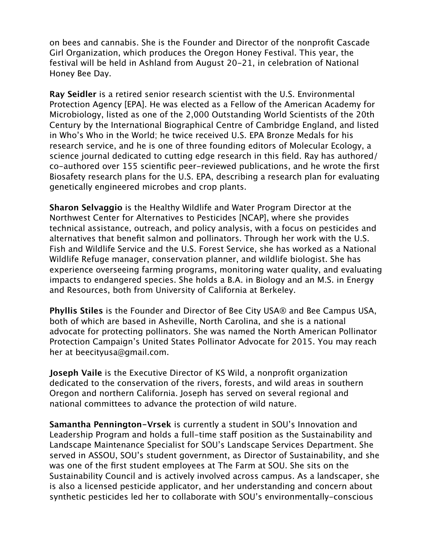on bees and cannabis. She is the Founder and Director of the nonprofit Cascade Girl Organization, which produces the Oregon Honey Festival. This year, the festival will be held in Ashland from August 20-21, in celebration of National Honey Bee Day.

**Ray Seidler** is a retired senior research scientist with the U.S. Environmental Protection Agency [EPA]. He was elected as a Fellow of the American Academy for Microbiology, listed as one of the 2,000 Outstanding World Scientists of the 20th Century by the International Biographical Centre of Cambridge England, and listed in Who's Who in the World; he twice received U.S. EPA Bronze Medals for his research service, and he is one of three founding editors of Molecular Ecology, a science journal dedicated to cutting edge research in this field. Ray has authored/ co-authored over 155 scientific peer-reviewed publications, and he wrote the first Biosafety research plans for the U.S. EPA, describing a research plan for evaluating genetically engineered microbes and crop plants.

**Sharon Selvaggio** is the Healthy Wildlife and Water Program Director at the Northwest Center for Alternatives to Pesticides [NCAP], where she provides technical assistance, outreach, and policy analysis, with a focus on pesticides and alternatives that benefit salmon and pollinators. Through her work with the U.S. Fish and Wildlife Service and the U.S. Forest Service, she has worked as a National Wildlife Refuge manager, conservation planner, and wildlife biologist. She has experience overseeing farming programs, monitoring water quality, and evaluating impacts to endangered species. She holds a B.A. in Biology and an M.S. in Energy and Resources, both from University of California at Berkeley.

**Phyllis Stiles** is the Founder and Director of Bee City USA® and Bee Campus USA, both of which are based in Asheville, North Carolina, and she is a national advocate for protecting pollinators. She was named the North American Pollinator Protection Campaign's United States Pollinator Advocate for 2015. You may reach her at [beecityusa@gmail.com](mailto:beecityusa@gmail.com).

**Joseph Vaile** is the Executive Director of KS Wild, a nonprofit organization dedicated to the conservation of the rivers, forests, and wild areas in southern Oregon and northern California. Joseph has served on several regional and national committees to advance the protection of wild nature.

**Samantha Pennington-Vrsek** is currently a student in SOU's Innovation and Leadership Program and holds a full-time staff position as the Sustainability and Landscape Maintenance Specialist for SOU's Landscape Services Department. She served in ASSOU, SOU's student government, as Director of Sustainability, and she was one of the first student employees at The Farm at SOU. She sits on the Sustainability Council and is actively involved across campus. As a landscaper, she is also a licensed pesticide applicator, and her understanding and concern about synthetic pesticides led her to collaborate with SOU's environmentally-conscious